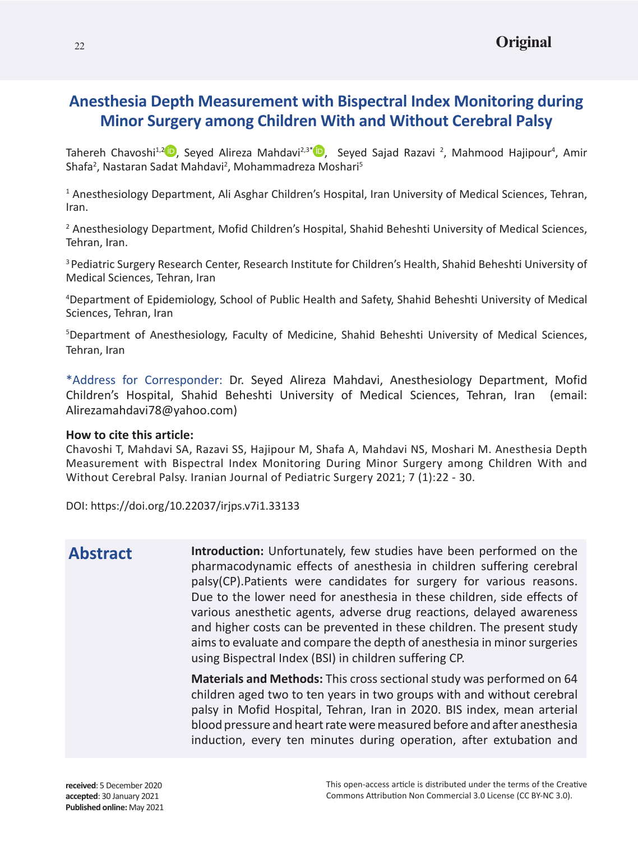# **Anesthesia Depth Measurement with Bispectral Index Monitoring during Minor Surgery among Children With and Without Cerebral Palsy**

Tahereh Chavoshi<sup>1[,](https://orcid.org/0000-0002-2173-0489)2</sup> D, Seyed Alireza Mahdavi<sup>2,3\*</sup> D, Seyed Sajad Razavi <sup>2</sup>, Mahmood Hajipour<sup>4</sup>, Amir Shafa<sup>2</sup>, Nastaran Sadat Mahdavi<sup>2</sup>, Mohammadreza Moshari<sup>5</sup>

<sup>1</sup> Anesthesiology Department, Ali Asghar Children's Hospital, Iran University of Medical Sciences, Tehran, Iran.

<sup>2</sup> Anesthesiology Department, Mofid Children's Hospital, Shahid Beheshti University of Medical Sciences, Tehran, Iran.

3 Pediatric Surgery Research Center, Research Institute for Children's Health, Shahid Beheshti University of Medical Sciences, Tehran, Iran

4 Department of Epidemiology, School of Public Health and Safety, Shahid Beheshti University of Medical Sciences, Tehran, Iran

5 Department of Anesthesiology, Faculty of Medicine, Shahid Beheshti University of Medical Sciences, Tehran, Iran

\*Address for Corresponder: Dr. Seyed Alireza Mahdavi, Anesthesiology Department, Mofid Children's Hospital, Shahid Beheshti University of Medical Sciences, Tehran, Iran (email: Alirezamahdavi78@yahoo.com)

### **How to cite this article:**

Chavoshi T, Mahdavi SA, Razavi SS, Hajipour M, Shafa A, Mahdavi NS, Moshari M. Anesthesia Depth Measurement with Bispectral Index Monitoring During Minor Surgery among Children With and Without Cerebral Palsy. Iranian Journal of Pediatric Surgery 2021; 7 (1):22 - 30.

DOI: https://doi.org/10.22037/irjps.v7i1.33133

# **Abstract**

**Introduction:** Unfortunately, few studies have been performed on the pharmacodynamic effects of anesthesia in children suffering cerebral palsy(CP).Patients were candidates for surgery for various reasons. Due to the lower need for anesthesia in these children, side effects of various anesthetic agents, adverse drug reactions, delayed awareness and higher costs can be prevented in these children. The present study aims to evaluate and compare the depth of anesthesia in minor surgeries using Bispectral Index (BSI) in children suffering CP.

**Materials and Methods:** This cross sectional study was performed on 64 children aged two to ten years in two groups with and without cerebral palsy in Mofid Hospital, Tehran, Iran in 2020. BIS index, mean arterial blood pressure and heart rate were measured before and after anesthesia induction, every ten minutes during operation, after extubation and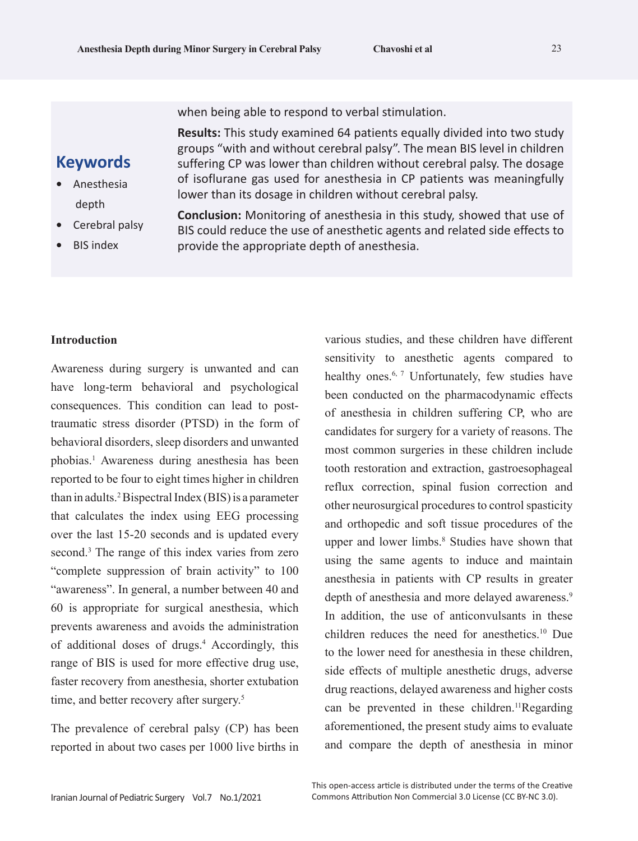when being able to respond to verbal stimulation.

**Results:** This study examined 64 patients equally divided into two study groups "with and without cerebral palsy". The mean BIS level in children suffering CP was lower than children without cerebral palsy. The dosage of isoflurane gas used for anesthesia in CP patients was meaningfully lower than its dosage in children without cerebral palsy.

## **Keywords**

- **•** Anesthesia depth
- **•** Cerebral palsy
- **•** BIS index

**Conclusion:** Monitoring of anesthesia in this study, showed that use of BIS could reduce the use of anesthetic agents and related side effects to provide the appropriate depth of anesthesia.

### **Introduction**

Awareness during surgery is unwanted and can have long-term behavioral and psychological consequences. This condition can lead to posttraumatic stress disorder (PTSD) in the form of behavioral disorders, sleep disorders and unwanted phobias.1 Awareness during anesthesia has been reported to be four to eight times higher in children than in adults.2 Bispectral Index (BIS) is a parameter that calculates the index using EEG processing over the last 15-20 seconds and is updated every second.<sup>3</sup> The range of this index varies from zero "complete suppression of brain activity" to 100 "awareness". In general, a number between 40 and 60 is appropriate for surgical anesthesia, which prevents awareness and avoids the administration of additional doses of drugs.<sup>4</sup> Accordingly, this range of BIS is used for more effective drug use, faster recovery from anesthesia, shorter extubation time, and better recovery after surgery.<sup>5</sup>

The prevalence of cerebral palsy (CP) has been reported in about two cases per 1000 live births in

various studies, and these children have different sensitivity to anesthetic agents compared to healthy ones.<sup>6, 7</sup> Unfortunately, few studies have been conducted on the pharmacodynamic effects of anesthesia in children suffering CP, who are candidates for surgery for a variety of reasons. The most common surgeries in these children include tooth restoration and extraction, gastroesophageal reflux correction, spinal fusion correction and other neurosurgical procedures to control spasticity and orthopedic and soft tissue procedures of the upper and lower limbs.<sup>8</sup> Studies have shown that using the same agents to induce and maintain anesthesia in patients with CP results in greater depth of anesthesia and more delayed awareness.<sup>9</sup> In addition, the use of anticonvulsants in these children reduces the need for anesthetics.10 Due to the lower need for anesthesia in these children, side effects of multiple anesthetic drugs, adverse drug reactions, delayed awareness and higher costs can be prevented in these children.<sup>11</sup>Regarding aforementioned, the present study aims to evaluate and compare the depth of anesthesia in minor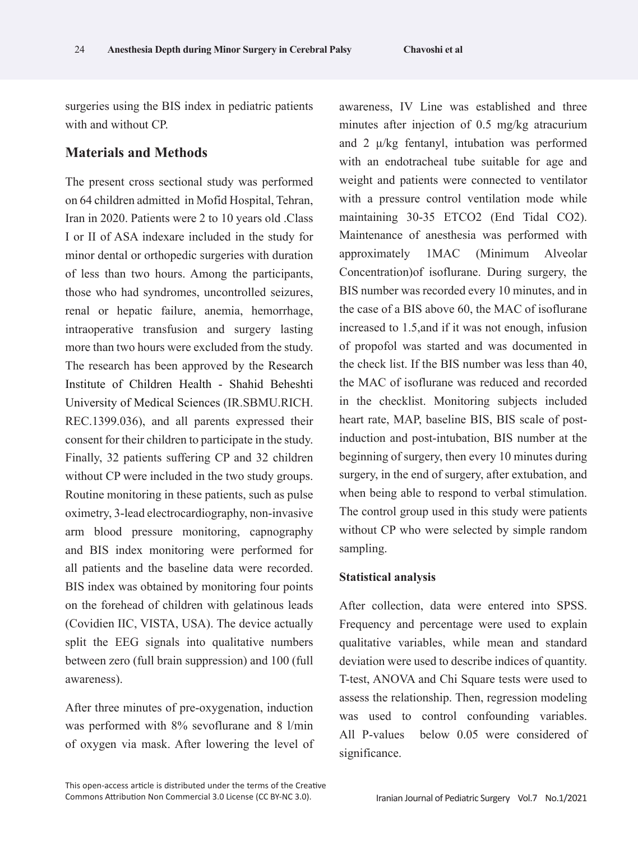surgeries using the BIS index in pediatric patients with and without CP.

## **Materials and Methods**

The present cross sectional study was performed on 64 children admitted in Mofid Hospital, Tehran, Iran in 2020. Patients were 2 to 10 years old .Class I or II of ASA indexare included in the study for minor dental or orthopedic surgeries with duration of less than two hours. Among the participants, those who had syndromes, uncontrolled seizures, renal or hepatic failure, anemia, hemorrhage, intraoperative transfusion and surgery lasting more than two hours were excluded from the study. The research has been approved by the Research Institute of Children Health - Shahid Beheshti University of Medical Sciences (IR.SBMU.RICH. REC.1399.036), and all parents expressed their consent for their children to participate in the study. Finally, 32 patients suffering CP and 32 children without CP were included in the two study groups. Routine monitoring in these patients, such as pulse oximetry, 3-lead electrocardiography, non-invasive arm blood pressure monitoring, capnography and BIS index monitoring were performed for all patients and the baseline data were recorded. BIS index was obtained by monitoring four points on the forehead of children with gelatinous leads (Covidien IIC, VISTA, USA). The device actually split the EEG signals into qualitative numbers between zero (full brain suppression) and 100 (full awareness).

After three minutes of pre-oxygenation, induction was performed with 8% sevoflurane and 8 l/min of oxygen via mask. After lowering the level of awareness, IV Line was established and three minutes after injection of 0.5 mg/kg atracurium and 2 μ/kg fentanyl, intubation was performed with an endotracheal tube suitable for age and weight and patients were connected to ventilator with a pressure control ventilation mode while maintaining 30-35 ETCO2 (End Tidal CO2). Maintenance of anesthesia was performed with approximately 1MAC (Minimum Alveolar Concentration)of isoflurane. During surgery, the BIS number was recorded every 10 minutes, and in the case of a BIS above 60, the MAC of isoflurane increased to 1.5,and if it was not enough, infusion of propofol was started and was documented in the check list. If the BIS number was less than 40, the MAC of isoflurane was reduced and recorded in the checklist. Monitoring subjects included heart rate, MAP, baseline BIS, BIS scale of postinduction and post-intubation, BIS number at the beginning of surgery, then every 10 minutes during surgery, in the end of surgery, after extubation, and when being able to respond to verbal stimulation. The control group used in this study were patients without CP who were selected by simple random sampling.

#### **Statistical analysis**

After collection, data were entered into SPSS. Frequency and percentage were used to explain qualitative variables, while mean and standard deviation were used to describe indices of quantity. T-test, ANOVA and Chi Square tests were used to assess the relationship. Then, regression modeling was used to control confounding variables. All P-values below 0.05 were considered of significance.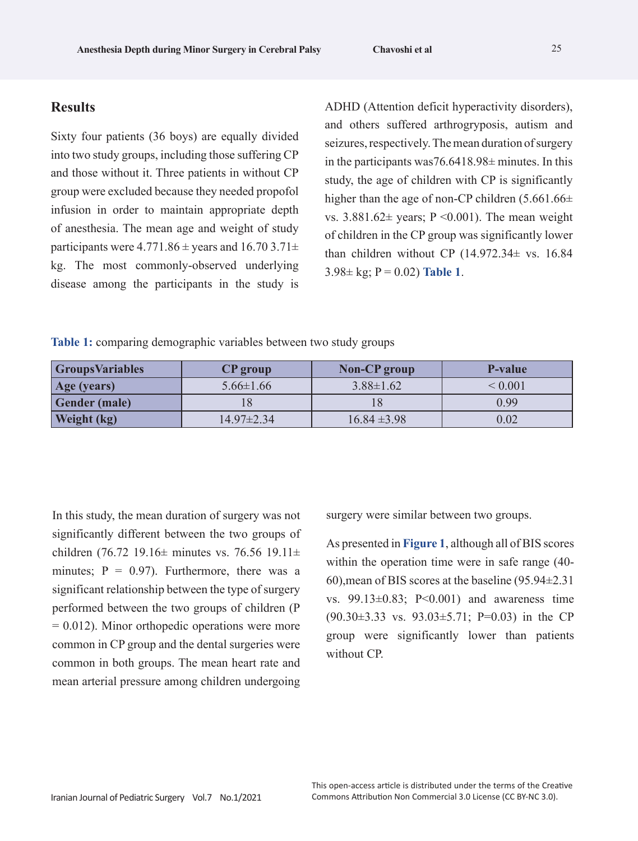### **Results**

Sixty four patients (36 boys) are equally divided into two study groups, including those suffering CP and those without it. Three patients in without CP group were excluded because they needed propofol infusion in order to maintain appropriate depth of anesthesia. The mean age and weight of study participants were  $4.771.86 \pm$  years and  $16.703.71 \pm$ kg. The most commonly-observed underlying disease among the participants in the study is

ADHD (Attention deficit hyperactivity disorders), and others suffered arthrogryposis, autism and seizures, respectively. The mean duration of surgery in the participants was76.6418.98± minutes. In this study, the age of children with CP is significantly higher than the age of non-CP children  $(5.661.66\pm)$ vs.  $3.881.62 \pm \text{years}$ ; P < 0.001). The mean weight of children in the CP group was significantly lower than children without CP  $(14.972.34 \pm \text{vs. } 16.84)$  $3.98 \pm \text{kg}$ ; P = 0.02) Table 1.

**Table 1:** comparing demographic variables between two study groups

| <b>GroupsVariables</b> | <b>CP</b> group  | Non-CP group     | <b>P-value</b> |
|------------------------|------------------|------------------|----------------|
| Age (years)            | $5.66 \pm 1.66$  | $3.88 \pm 1.62$  | ${}< 0.001$    |
| <b>Gender</b> (male)   |                  |                  | 0.99           |
| <b>Weight</b> (kg)     | $14.97 \pm 2.34$ | $16.84 \pm 3.98$ | 0.02           |

In this study, the mean duration of surgery was not significantly different between the two groups of children (76.72 19.16 $\pm$  minutes vs. 76.56 19.11 $\pm$ minutes;  $P = 0.97$ ). Furthermore, there was a significant relationship between the type of surgery performed between the two groups of children (P  $= 0.012$ ). Minor orthopedic operations were more common in CP group and the dental surgeries were common in both groups. The mean heart rate and mean arterial pressure among children undergoing

surgery were similar between two groups.

As presented in **Figure 1**, although all of BIS scores within the operation time were in safe range (40- 60),mean of BIS scores at the baseline (95.94±2.31 vs. 99.13±0.83; P<0.001) and awareness time  $(90.30\pm3.33 \text{ vs. } 93.03\pm5.71; \text{ P=0.03})$  in the CP group were significantly lower than patients without CP.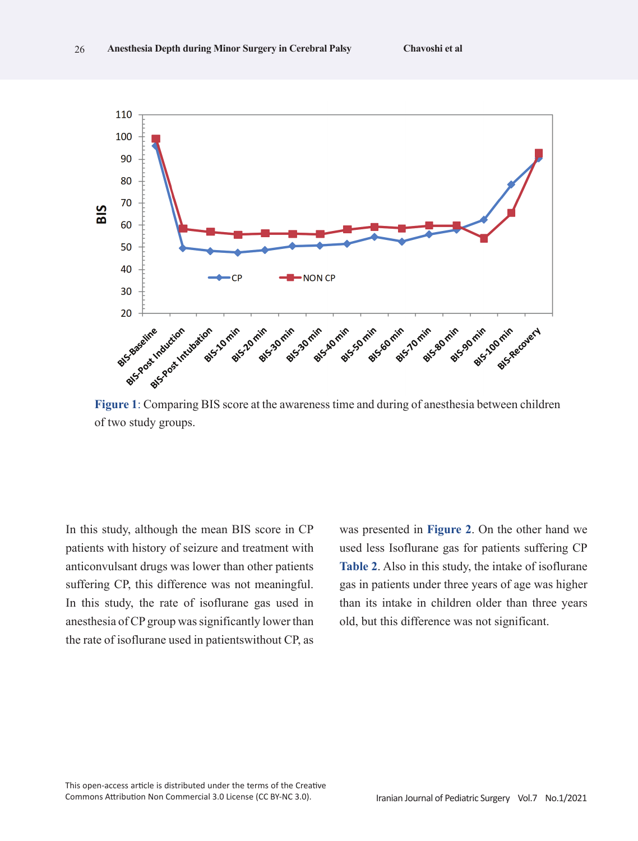

of two study groups.

In this study, although the mean BIS score in CP patients with history of seizure and treatment with anticonvulsant drugs was lower than other patients suffering CP, this difference was not meaningful. In this study, the rate of isoflurane gas used in anesthesia of CP group was significantly lower than the rate of isoflurane used in patientswithout CP, as was presented in **Figure 2**. On the other hand we used less Isoflurane gas for patients suffering CP **Table 2**. Also in this study, the intake of isoflurane gas in patients under three years of age was higher than its intake in children older than three years old, but this difference was not significant.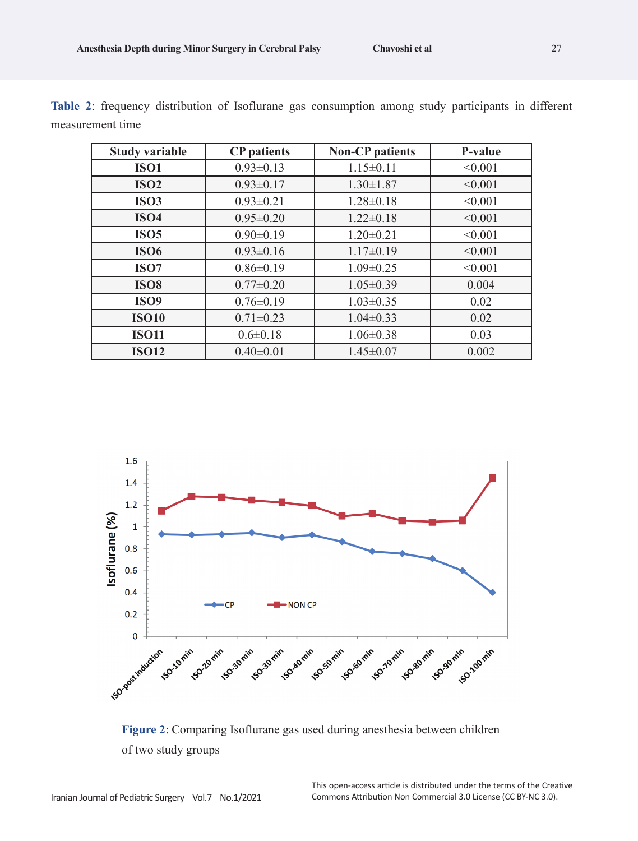| <b>Study variable</b> | <b>CP</b> patients | <b>Non-CP</b> patients | P-value |
|-----------------------|--------------------|------------------------|---------|
| <b>ISO1</b>           | $0.93 \pm 0.13$    | $1.15 \pm 0.11$        | < 0.001 |
| <b>ISO2</b>           | $0.93 \pm 0.17$    | $1.30 \pm 1.87$        | < 0.001 |
| <b>ISO3</b>           | $0.93 \pm 0.21$    | $1.28 \pm 0.18$        | < 0.001 |
| <b>ISO4</b>           | $0.95 \pm 0.20$    | $1.22 \pm 0.18$        | < 0.001 |
| <b>ISO5</b>           | $0.90 \pm 0.19$    | $1.20 \pm 0.21$        | < 0.001 |
| <b>ISO6</b>           | $0.93 \pm 0.16$    | $1.17\pm0.19$          | < 0.001 |
| ISO <sub>7</sub>      | $0.86 \pm 0.19$    | $1.09 \pm 0.25$        | < 0.001 |
| <b>ISO8</b>           | $0.77 \pm 0.20$    | $1.05 \pm 0.39$        | 0.004   |
| <b>ISO9</b>           | $0.76 \pm 0.19$    | $1.03 \pm 0.35$        | 0.02    |
| <b>ISO10</b>          | $0.71 \pm 0.23$    | $1.04 \pm 0.33$        | 0.02    |
| <b>ISO11</b>          | $0.6 \pm 0.18$     | $1.06 \pm 0.38$        | 0.03    |
| <b>ISO12</b>          | $0.40 \pm 0.01$    | $1.45 \pm 0.07$        | 0.002   |

**Table 2**: frequency distribution of Isoflurane gas consumption among study participants in different measurement time



**Figure 2**: Comparing Isoflurane gas used during anesthesia between children of two study groups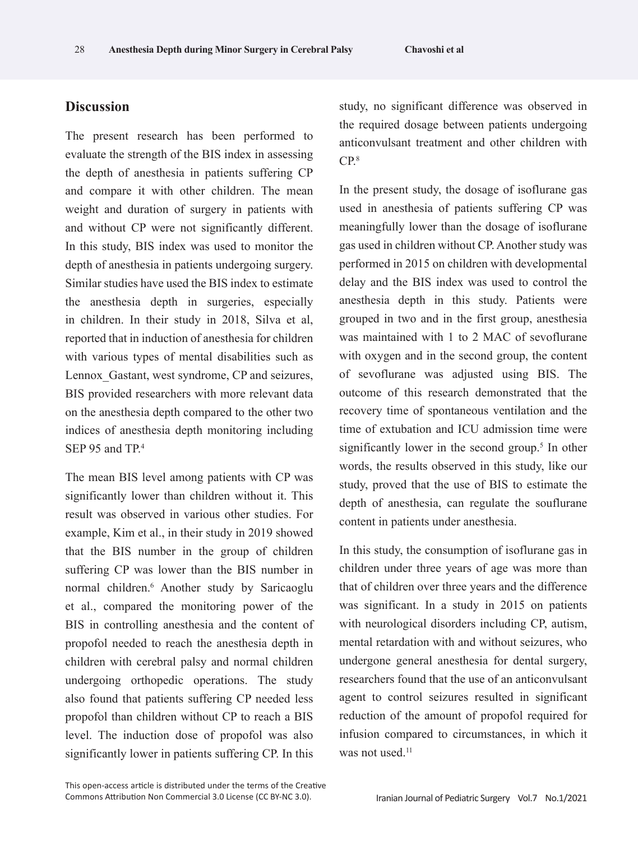## **Discussion**

The present research has been performed to evaluate the strength of the BIS index in assessing the depth of anesthesia in patients suffering CP and compare it with other children. The mean weight and duration of surgery in patients with and without CP were not significantly different. In this study, BIS index was used to monitor the depth of anesthesia in patients undergoing surgery. Similar studies have used the BIS index to estimate the anesthesia depth in surgeries, especially in children. In their study in 2018, Silva et al, reported that in induction of anesthesia for children with various types of mental disabilities such as Lennox Gastant, west syndrome, CP and seizures, BIS provided researchers with more relevant data on the anesthesia depth compared to the other two indices of anesthesia depth monitoring including SEP 95 and TP.<sup>4</sup>

The mean BIS level among patients with CP was significantly lower than children without it. This result was observed in various other studies. For example, Kim et al., in their study in 2019 showed that the BIS number in the group of children suffering CP was lower than the BIS number in normal children.6 Another study by Saricaoglu et al., compared the monitoring power of the BIS in controlling anesthesia and the content of propofol needed to reach the anesthesia depth in children with cerebral palsy and normal children undergoing orthopedic operations. The study also found that patients suffering CP needed less propofol than children without CP to reach a BIS level. The induction dose of propofol was also significantly lower in patients suffering CP. In this

study, no significant difference was observed in the required dosage between patients undergoing anticonvulsant treatment and other children with  $CP<sup>8</sup>$ 

In the present study, the dosage of isoflurane gas used in anesthesia of patients suffering CP was meaningfully lower than the dosage of isoflurane gas used in children without CP. Another study was performed in 2015 on children with developmental delay and the BIS index was used to control the anesthesia depth in this study. Patients were grouped in two and in the first group, anesthesia was maintained with 1 to 2 MAC of sevoflurane with oxygen and in the second group, the content of sevoflurane was adjusted using BIS. The outcome of this research demonstrated that the recovery time of spontaneous ventilation and the time of extubation and ICU admission time were significantly lower in the second group.<sup>5</sup> In other words, the results observed in this study, like our study, proved that the use of BIS to estimate the depth of anesthesia, can regulate the souflurane content in patients under anesthesia.

In this study, the consumption of isoflurane gas in children under three years of age was more than that of children over three years and the difference was significant. In a study in 2015 on patients with neurological disorders including CP, autism, mental retardation with and without seizures, who undergone general anesthesia for dental surgery, researchers found that the use of an anticonvulsant agent to control seizures resulted in significant reduction of the amount of propofol required for infusion compared to circumstances, in which it was not used.<sup>11</sup>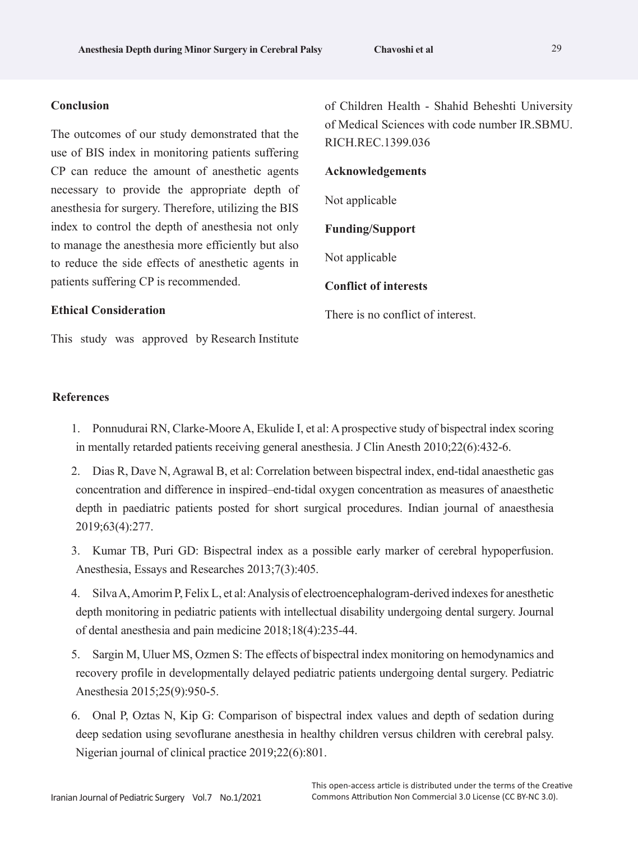#### **Conclusion**

The outcomes of our study demonstrated that the use of BIS index in monitoring patients suffering CP can reduce the amount of anesthetic agents necessary to provide the appropriate depth of anesthesia for surgery. Therefore, utilizing the BIS index to control the depth of anesthesia not only to manage the anesthesia more efficiently but also to reduce the side effects of anesthetic agents in patients suffering CP is recommended.

**Ethical Consideration**

This study was approved by Research Institute

**References**

- 1. Ponnudurai RN, Clarke-Moore A, Ekulide I, et al: A prospective study of bispectral index scoring in mentally retarded patients receiving general anesthesia. J Clin Anesth 2010;22(6):432-6.
- 2. Dias R, Dave N, Agrawal B, et al: Correlation between bispectral index, end-tidal anaesthetic gas concentration and difference in inspired–end-tidal oxygen concentration as measures of anaesthetic depth in paediatric patients posted for short surgical procedures. Indian journal of anaesthesia 2019;63(4):277.
- 3. Kumar TB, Puri GD: Bispectral index as a possible early marker of cerebral hypoperfusion. Anesthesia, Essays and Researches 2013;7(3):405.
- 4. Silva A, Amorim P, Felix L, et al: Analysis of electroencephalogram-derived indexes for anesthetic depth monitoring in pediatric patients with intellectual disability undergoing dental surgery. Journal of dental anesthesia and pain medicine 2018;18(4):235-44.
- 5. Sargin M, Uluer MS, Ozmen S: The effects of bispectral index monitoring on hemodynamics and recovery profile in developmentally delayed pediatric patients undergoing dental surgery. Pediatric Anesthesia 2015;25(9):950-5.
- 6. Onal P, Oztas N, Kip G: Comparison of bispectral index values and depth of sedation during deep sedation using sevoflurane anesthesia in healthy children versus children with cerebral palsy. Nigerian journal of clinical practice 2019;22(6):801.

of Children Health - Shahid Beheshti University of Medical Sciences with code number IR.SBMU. RICH.REC.1399.036

#### **Acknowledgements**

Not applicable

#### **Funding/Support**

Not applicable

### **Conflict of interests**

There is no conflict of interest.